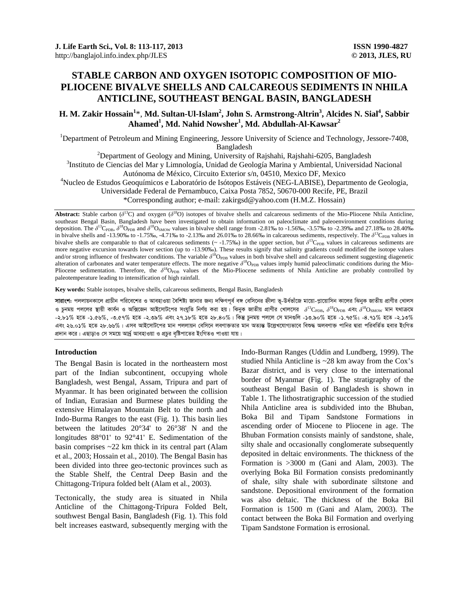# **STABLE CARBON AND OXYGEN ISOTOPIC COMPOSITION OF MIO-PLIOCENE BIVALVE SHELLS AND CALCAREOUS SEDIMENTS IN NHILA ANTICLINE, SOUTHEAST BENGAL BASIN, BANGLADESH**

# **H. M. Zakir Hossain<sup>1</sup>** \*, **Md. Sultan-Ul-Islam2 , John S. Armstrong-Altrin<sup>3</sup> , Alcides N. Sial<sup>4</sup> , Sabbir**   $\boldsymbol{\mathrm{A}}$ hamed $\boldsymbol{\mathrm{1}}$ , Md. Nahid Nowsher $\boldsymbol{\mathrm{1}}$ , Md. Abdullah-Al-Kawsar $\boldsymbol{\mathrm{2}}$

<sup>1</sup>Department of Petroleum and Mining Engineering, Jessore University of Science and Technology, Jessore-7408, Bangladesh<br><sup>2</sup>Department of Gaalaay and Mining University of

 $\frac{1}{2}$ Department of Geology and Mining, University of Rajshahi, Rajshahi-6205, Bangladesh 3Institute de Gionejes del Meru Limpelegíe, Unided de Geologíe Merine y Ambientel, Universided

<sup>3</sup>Instituto de Ciencias del Mar y Limnología, Unidad de Geología Marina y Ambiental, Universidad Nacional Autónoma de México, Circuito Exterior s/n, 04510, Mexico DF, Mexico 4

Nucleo de Estudos Geoquímicos e Laboratório de Isótopos Estáveis (NEG-LABISE), Departmento de Geologia,

Universidade Federal de Pernambuco, Caixa Posta 7852, 50670-000 Recife, PE, Brazil

\*Corresponding author; e-mail: zakirgsd@yahoo.com (H.M.Z. Hossain)

**Abstract:** Stable carbon ( $\delta^{13}C$ ) and oxygen ( $\delta^{18}O$ ) isotopes of bivalve shells and calcareous sediments of the Mio-Pliocene Nhila Anticline, southeast Bengal Basin, Bangladesh have been investigated to obtain information on paleoclimate and paleoenvironment conditions during deposition. The  $\delta^{13}$ C<sub>PDB</sub>,  $\delta^{18}$ O<sub>PDB</sub> and  $\delta^{18}$ O<sub>SMOW</sub> values in bivalve shell range from -2.81‰ to -1.56‰, -3.57‰ to -2.39‰ and 27.18‰ to 28.40‰ in bivalve shells and -13.90‰ to -1.75‰, -4.71‰ to -2.13‰ and 26.01‰ to 28.66‰ in calcareous sediments, respectively. The  $\delta^{13}C_{PDB}$  values in bivalve shells are comparable to that of calcareous sediments ( $\sim$  -1.75‰) in the upper section, but  $\delta^{13}C_{\rm PDB}$  values in calcareous sediments are more negative excursion towards lower section (up to -13.90‰). These results signify that salinity gradients could modified the isotope values and/or strong influence of freshwater conditions. The variable  $\delta^{18}O_{\rm PDB}$  values in both bivalve shell and calcareous sediment suggesting diagenetic alteration of carbonates and water temperature effects. The more negative  $\delta^{18}O_{\text{PDB}}$  values imply humid paleoclimatic conditions during the Mio-Pliocene sedimentation. Therefore, the  $\delta^{18}$ O<sub>PDB</sub> values of the Mio-Pliocene sediments of Nhila Anticline are probably controlled by paleotemperature leading to intensification of high rainfall.

**Key words:** Stable isotopes, bivalve shells, calcareous sediments, Bengal Basin, Bangladesh

**সারাংশ:** পললায়নকালে প্রাচীন পরিবেশের ও আবহাওয়া বৈশিষ্ট্য জানার জন্য দক্ষিণপূর্ব বঙ্গ বেসিনের হীলা ভূ-উর্ধভাঁজে মায়ো-প্লায়োসিন কালের ঝিনুক জাতীয় প্রাণীর খোলস ও চুনময় পললের স্থায়ী কার্বন ও অক্সিজেন আইসোটপের সংযুতি নির্ণয় করা হয়। ঝিনুক জাতীয় প্রাণীর খোলসের  $\delta^{18}O_{\rm FDR}$ ,  $\delta^{18}O_{\rm FDR}$  এবং  $\delta^{18}O_{\rm SMOW}$  মান যথাক্রমে -২.৮১% হতে -১.৫৬%, -৩.৫৭% হতে -২.৩৯% এবং ২৭.১৮% হতে ২৮.৪০%। কিন্তু চুনময় পললে সে মানগুলি -১৩.৯০% হতে -১.৭৫%; -৪.৭১% হতে -২.১৩% এবং ২৬.০১% হতে ২৮.৬৬%। এসব আইসোটপের মান পললায়ন বেসিনে লবণাক্ততার মান অত্যন্ত উল্লেখযোগ্যভাবে বিশুদ্ধ অলবণাক্ত পানির দ্বারা পরিবর্তিত হবার ইংগিত প্রদান করে। এছাড়াও সে সময়ে আর্দ্র আবহাওয়া ও প্রচুর বৃষ্টিপাতের ইংগিতও পাওয়া যায়।

## **Introduction**

The Bengal Basin is located in the northeastern most part of the Indian subcontinent, occupying whole Bangladesh, west Bengal, Assam, Tripura and part of Myanmar. It has been originated between the collision of Indian, Eurasian and Burmese plates building the extensive Himalayan Mountain Belt to the north and Indo-Burma Ranges to the east (Fig. 1). This basin lies between the latitudes 20°34' to 26°38' N and the longitudes 88°01' to 92°41' E. Sedimentation of the basin comprises ~22 km thick in its central part (Alam et al., 2003; Hossain et al., 2010). The Bengal Basin has been divided into three geo-tectonic provinces such as the Stable Shelf, the Central Deep Basin and the Chittagong-Tripura folded belt (Alam et al., 2003).

Tectonically, the study area is situated in Nhila Anticline of the Chittagong-Tripura Folded Belt, southwest Bengal Basin, Bangladesh (Fig. 1). This fold belt increases eastward, subsequently merging with the Indo-Burman Ranges (Uddin and Lundberg, 1999). The studied Nhila Anticline is ~28 km away from the Cox's Bazar district, and is very close to the international border of Myanmar (Fig. 1). The stratigraphy of the southeast Bengal Basin of Bangladesh is shown in Table 1. The lithostratigraphic succession of the studied Nhila Anticline area is subdivided into the Bhuban, Boka Bil and Tipam Sandstone Formations in ascending order of Miocene to Pliocene in age. The Bhuban Formation consists mainly of sandstone, shale, silty shale and occasionally conglomerate subsequently deposited in deltaic environments. The thickness of the Formation is >3000 m (Gani and Alam, 2003). The overlying Boka Bil Formation consists predominantly of shale, silty shale with subordinate siltstone and sandstone. Depositional environment of the formation was also deltaic. The thickness of the Boka Bil Formation is 1500 m (Gani and Alam, 2003). The contact between the Boka Bil Formation and overlying Tipam Sandstone Formation is errosional.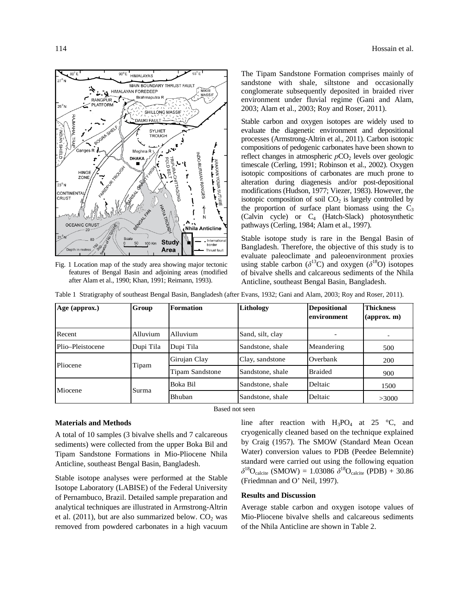

Fig. 1 Location map of the study area showing major tectonic features of Bengal Basin and adjoining areas (modified after Alam et al., 1990; Khan, 1991; Reimann, 1993).

The Tipam Sandstone Formation comprises mainly of sandstone with shale, siltstone and occasionally conglomerate subsequently deposited in braided river environment under fluvial regime (Gani and Alam, 2003; Alam et al., 2003; Roy and Roser, 2011).

Stable carbon and oxygen isotopes are widely used to evaluate the diagenetic environment and depositional processes (Armstrong-Altrin et al., 2011). Carbon isotopic compositions of pedogenic carbonates have been shown to reflect changes in atmospheric  $pCO<sub>2</sub>$  levels over geologic timescale (Cerling, 1991; Robinson et al., 2002). Oxygen isotopic compositions of carbonates are much prone to alteration during diagenesis and/or post-depositional modifications (Hudson, 1977; Viezer, 1983). However, the isotopic composition of soil  $CO<sub>2</sub>$  is largely controlled by the proportion of surface plant biomass using the  $C_3$ (Calvin cycle) or C4 (Hatch-Slack) photosynthetic pathways (Cerling, 1984; Alam et al., 1997).

Stable isotope study is rare in the Bengal Basin of Bangladesh. Therefore, the objective of this study is to evaluate paleoclimate and paleoenvironment proxies using stable carbon ( $\delta^{13}$ C) and oxygen ( $\delta^{18}$ O) isotopes of bivalve shells and calcareous sediments of the Nhila Anticline, southeast Bengal Basin, Bangladesh.

|  |  |  | Table 1 Stratigraphy of southeast Bengal Basin, Bangladesh (after Evans, 1932; Gani and Alam, 2003; Roy and Roser, 2011). |
|--|--|--|---------------------------------------------------------------------------------------------------------------------------|
|  |  |  |                                                                                                                           |

| Age (approx.)    | Group        | Formation              | Lithology        | <b>Depositional</b><br>environment | <b>Thickness</b><br>$\left(\text{approx. m}\right)$ |
|------------------|--------------|------------------------|------------------|------------------------------------|-----------------------------------------------------|
| Recent           | Alluvium     | Alluvium               | Sand, silt, clay |                                    |                                                     |
| Plio-Pleistocene | Dupi Tila    | Dupi Tila              | Sandstone, shale | Meandering                         | 500                                                 |
| Pliocene         | <b>Tipam</b> | Girujan Clay           | Clay, sandstone  | Overbank                           | 200                                                 |
|                  |              | <b>Tipam Sandstone</b> | Sandstone, shale | <b>Braided</b>                     | 900                                                 |
| Miocene          |              | Boka Bil               | Sandstone, shale | Deltaic                            | 1500                                                |
|                  | Surma        | Bhuban                 | Sandstone, shale | Deltaic                            | >3000                                               |

Based not seen

#### **Materials and Methods**

A total of 10 samples (3 bivalve shells and 7 calcareous sediments) were collected from the upper Boka Bil and Tipam Sandstone Formations in Mio-Pliocene Nhila Anticline, southeast Bengal Basin, Bangladesh.

Stable isotope analyses were performed at the Stable Isotope Laboratory (LABISE) of the Federal University of Pernambuco, Brazil. Detailed sample preparation and analytical techniques are illustrated in Armstrong-Altrin et al. (2011), but are also summarized below.  $CO<sub>2</sub>$  was removed from powdered carbonates in a high vacuum line after reaction with  $H_3PO_4$  at 25 °C, and cryogenically cleaned based on the technique explained by Craig (1957). The SMOW (Standard Mean Ocean Water) conversion values to PDB (Peedee Belemnite) standard were carried out using the following equation  $\delta^{18}O_{\text{calcite}}$  (SMOW) = 1.03086  $\delta^{18}O_{\text{calcite}}$  (PDB) + 30.86 (Friedmnan and O' Neil, 1997).

#### **Results and Discussion**

Average stable carbon and oxygen isotope values of Mio-Pliocene bivalve shells and calcareous sediments of the Nhila Anticline are shown in Table 2.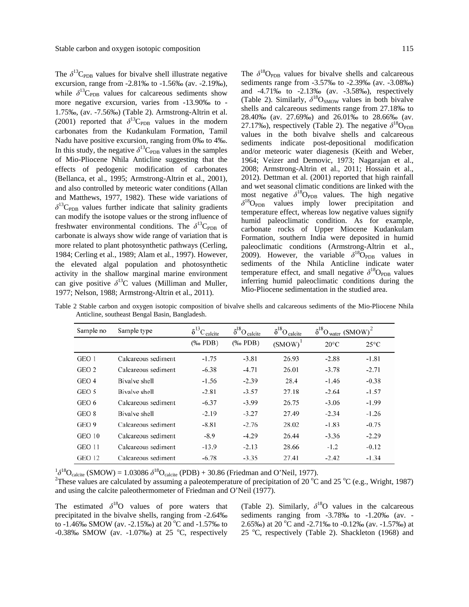The  $\delta^{13}C_{\text{PDB}}$  values for bivalve shell illustrate negative excursion, range from -2.81‰ to -1.56‰ (av. -2.19‰), while  $\delta^{13}C_{PDB}$  values for calcareous sediments show more negative excursion, varies from -13.90‰ to - 1.75‰, (av. -7.56‰) (Table 2). Armstrong-Altrin et al. (2001) reported that  $\delta^{13}C_{\text{PDB}}$  values in the modern carbonates from the Kudankulam Formation, Tamil Nadu have positive excursion, ranging from 0‰ to 4‰. In this study, the negative  $\delta^{13}C_{\text{PDB}}$  values in the samples of Mio-Pliocene Nhila Anticline suggesting that the effects of pedogenic modification of carbonates (Bellanca, et al., 1995; Armstrong-Altrin et al., 2001), and also controlled by meteoric water conditions (Allan and Matthews, 1977, 1982). These wide variations of  $\delta^{13}$ C<sub>PDB</sub> values further indicate that salinity gradients can modify the isotope values or the strong influence of freshwater environmental conditions. The  $\delta^{13}C_{\text{PDR}}$  of carbonate is always show wide range of variation that is more related to plant photosynthetic pathways (Cerling, 1984; Cerling et al., 1989; Alam et al., 1997). However, the elevated algal population and photosynthetic activity in the shallow marginal marine environment can give positive  $\delta^{13}$ C values (Milliman and Muller,

1977; Nelson, 1988; Armstrong-Altrin et al., 2011).

The  $\delta^{18}O_{PDB}$  values for bivalve shells and calcareous sediments range from -3.57‰ to -2.39‰ (av. -3.08‰) and -4.71‰ to -2.13‰ (av. -3.58‰), respectively (Table 2). Similarly,  $\delta^{18}O_{SMOW}$  values in both bivalve shells and calcareous sediments range from 27.18‰ to 28.40‰ (av. 27.69‰) and 26.01‰ to 28.66‰ (av. 27.17‰), respectively (Table 2). The negative  $\delta^{18}O_{\text{PDB}}$ values in the both bivalve shells and calcareous sediments indicate post-depositional modification and/or meteoric water diagenesis (Keith and Weber, 1964; Veizer and Demovic, 1973; Nagarajan et al., 2008; Armstrong-Altrin et al., 2011; Hossain et al., 2012). Dettman et al. (2001) reported that high rainfall and wet seasonal climatic conditions are linked with the most negative  $\delta^{18}O_{PDB}$  values. The high negative  $\delta^{18}$ O<sub>PDB</sub> values imply lower precipitation and temperature effect, whereas low negative values signify humid paleoclimatic condition. As for example, carbonate rocks of Upper Miocene Kudankulam Formation, southern India were deposited in humid paleoclimatic conditions (Armstrong-Altrin et al., 2009). However, the variable  $\delta^{18}$ O<sub>PDB</sub> values in sediments of the Nhila Anticline indicate water temperature effect, and small negative  $\delta^{18}O_{PDB}$  values inferring humid paleoclimatic conditions during the Mio-Pliocene sedimentation in the studied area.

| Sample no     | Sample type         |                          | $\delta^{18}O_{\text{ calcite}}$<br>$\delta^{13}C_{\text{calcite}}$ |        | $\delta^{18}O_{water}$ (SMOW) <sup>2</sup> |                |
|---------------|---------------------|--------------------------|---------------------------------------------------------------------|--------|--------------------------------------------|----------------|
|               |                     | $(% \mathbf{A})$ (‰ PDB) | $(\%$ PDB)                                                          | (SMOW) | $20^{\circ}$ C                             | $25^{\circ}$ C |
| GEO 1         | Calcareous sediment | $-1.75$                  | $-3.81$                                                             | 26.93  | $-2.88$                                    | $-1.81$        |
| GEO 2         | Calcareous sediment | $-6.38$                  | $-4.71$                                                             | 26.01  | $-3.78$                                    | $-2.71$        |
| GEO 4         | Bivalve shell       | $-1.56$                  | $-2.39$                                                             | 28.4   | $-1.46$                                    | $-0.38$        |
| GEO 5         | Bivalve shell       | $-2.81$                  | $-3.57$                                                             | 27.18  | $-2.64$                                    | $-1.57$        |
| GEO 6         | Calcareous sediment | $-6.37$                  | $-3.99$                                                             | 26.75  | $-3.06$                                    | $-1.99$        |
| GEO 8         | Bivalve shell       | $-2.19$                  | $-3.27$                                                             | 27.49  | $-2.34$                                    | $-1.26$        |
| GEO 9         | Calcareous sediment | $-8.81$                  | $-2.76$                                                             | 28.02  | $-1.83$                                    | $-0.75$        |
| <b>GEO 10</b> | Calcareous sediment | $-8.9$                   | $-4.29$                                                             | 26.44  | $-3.36$                                    | $-2.29$        |
| GEO 11        | Calcareous sediment | $-13.9$                  | $-2.13$                                                             | 28.66  | $-1.2$                                     | $-0.12$        |
| <b>GEO 12</b> | Calcareous sediment | $-6.78$                  | $-3.35$                                                             | 27.41  | $-2.42$                                    | $-1.34$        |

Table 2 Stable carbon and oxygen isotopic composition of bivalve shells and calcareous sediments of the Mio-Pliocene Nhila Anticline, southeast Bengal Basin, Bangladesh.

 $^{1} \delta^{18}O_{\text{calcite}}$  (SMOW) = 1.03086  $\delta^{18}O_{\text{calcite}}$  (PDB) + 30.86 (Friedman and O'Neil, 1977).

These values are calculated by assuming a paleotemperature of precipitation of 20  $^{\circ}$ C and 25  $^{\circ}$ C (e.g., Wright, 1987) and using the calcite paleothermometer of Friedman and O'Neil (1977).

The estimated  $\delta^{18}$ O values of pore waters that precipitated in the bivalve shells, ranging from -2.64‰ to -1.46‰ SMOW (av. -2.15‰) at 20 °C and -1.57‰ to  $-0.38\%$  SMOW (av.  $-1.07\%$ ) at 25 °C, respectively (Table 2). Similarly,  $\delta^{18}O$  values in the calcareous sediments ranging from -3.78‰ to -1.20‰ (av. - 2.65‰) at 20 °C and -2.71‰ to -0.12‰ (av. -1.57‰) at 25 °C, respectively (Table 2). Shackleton (1968) and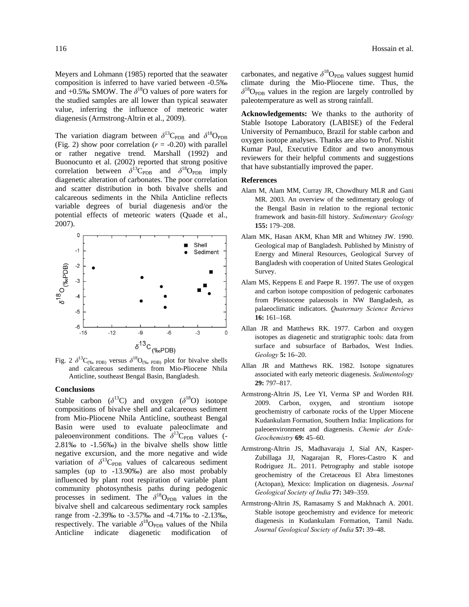Meyers and Lohmann (1985) reported that the seawater composition is inferred to have varied between -0.5‰ and  $+0.5\%$  SMOW. The  $\delta^{18}$ O values of pore waters for the studied samples are all lower than typical seawater value, inferring the influence of meteoric water diagenesis (Armstrong-Altrin et al., 2009).

The variation diagram between  $\delta^{13}C_{\text{PDR}}$  and  $\delta^{18}O_{\text{PDR}}$ (Fig. 2) show poor correlation  $(r = -0.20)$  with parallel or rather negative trend. Marshall (1992) and Buonocunto et al. (2002) reported that strong positive correlation between  $\delta^{13}C_{PDB}$  and  $\delta^{18}O_{PDB}$  imply diagenetic alteration of carbonates. The poor correlation and scatter distribution in both bivalve shells and calcareous sediments in the Nhila Anticline reflects variable degrees of burial diagenesis and/or the potential effects of meteoric waters (Quade et al., 2007).



and calcareous sediments from Mio-Pliocene Nhila Anticline, southeast Bengal Basin, Bangladesh.

#### **Conclusions**

Stable carbon  $(\delta^{13}C)$  and oxygen  $(\delta^{18}O)$  isotope compositions of bivalve shell and calcareous sediment from Mio-Pliocene Nhila Anticline, southeast Bengal Basin were used to evaluate paleoclimate and paleoenvironment conditions. The  $\delta^{13}C_{PDB}$  values (-2.81‰ to -1.56‰) in the bivalve shells show little negative excursion, and the more negative and wide variation of  $\delta^{13}C_{PDB}$  values of calcareous sediment samples (up to -13.90‰) are also most probably influenced by plant root respiration of variable plant community photosynthesis paths during pedogenic processes in sediment. The  $\delta^{18}$ O<sub>PDB</sub> values in the bivalve shell and calcareous sedimentary rock samples range from -2.39‰ to -3.57‰ and -4.71‰ to -2.13‰, respectively. The variable  $\delta^{18}O_{\rm PDR}$  values of the Nhila Anticline indicate diagenetic modification of carbonates, and negative  $\delta^{18}O_{PDB}$  values suggest humid climate during the Mio-Pliocene time. Thus, the  $\delta^{18}$ O<sub>PDB</sub> values in the region are largely controlled by paleotemperature as well as strong rainfall.

**Acknowledgements:** We thanks to the authority of Stable Isotope Laboratory (LABISE) of the Federal University of Pernambuco, Brazil for stable carbon and oxygen isotope analyses. Thanks are also to Prof. Nishit Kumar Paul, Executive Editor and two anonymous reviewers for their helpful comments and suggestions that have substantially improved the paper.

### **References**

- Alam M, Alam MM, Curray JR, Chowdhury MLR and Gani MR. 2003. An overview of the sedimentary geology of the Bengal Basin in relation to the regional tectonic framework and basin-fill history. *Sedimentary Geology* **155:** 179–208.
- Alam MK, Hasan AKM, Khan MR and Whitney JW. 1990. Geological map of Bangladesh. Published by Ministry of Energy and Mineral Resources, Geological Survey of Bangladesh with cooperation of United States Geological Survey.
- Alam MS, Keppens E and Paepe R. 1997. The use of oxygen and carbon isotope composition of pedogenic carbonates from Pleistocene palaeosols in NW Bangladesh, as palaeoclimatic indicators. *Quaternary Science Reviews* **16:** 161–168.
- Allan JR and Matthews RK. 1977. Carbon and oxygen isotopes as diagenetic and stratigraphic tools: data from surface and subsurface of Barbados, West Indies. *Geology* **5:** 16–20.
- Allan JR and Matthews RK. 1982. Isotope signatures associated with early meteoric diagenesis. *Sedimentology* **29:** 797–817.
- Armstrong-Altrin JS, Lee YI, Verma SP and Worden RH. 2009. Carbon, oxygen, and strontium isotope geochemistry of carbonate rocks of the Upper Miocene Kudankulam Formation, Southern India: Implications for paleoenvironment and diagenesis. *Chemie der Erde-Geochemistry* **69:** 45–60.
- Armstrong-Altrin JS, Madhavaraju J, Sial AN, Kasper-Zubillaga JJ, Nagarajan R, Flores-Castro K and Rodriguez JL. 2011. Petrography and stable isotope geochemistry of the Cretaceous El Abra limestones (Actopan), Mexico: Implication on diagenesis. *Journal Geological Society of India* **77:** 349–359.
- Armstrong-Altrin JS, Ramasamy S and Makhnach A. 2001. Stable isotope geochemistry and evidence for meteoric diagenesis in Kudankulam Formation, Tamil Nadu. *Journal Geological Society of India* **57:** 39–48.